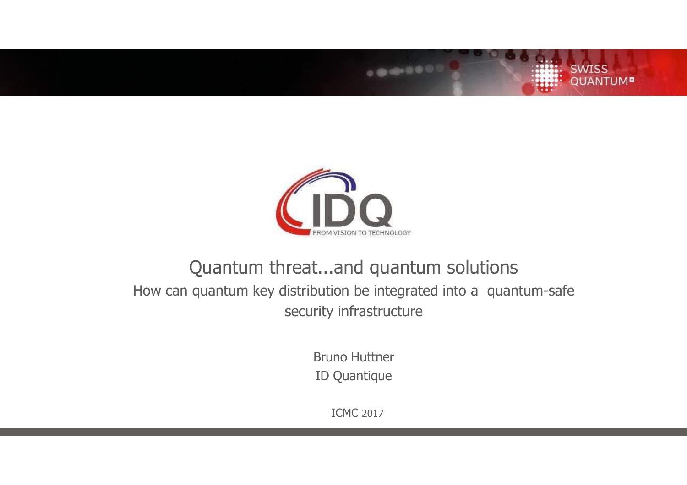

......

**SWISS** 

**QUANTUM<sup>B</sup>** 

### Quantum threat...and quantum solutions How can quantum key distribution be integrated into a quantum-safe security infrastructure

Bruno Huttner ID Quantique

ICMC 2017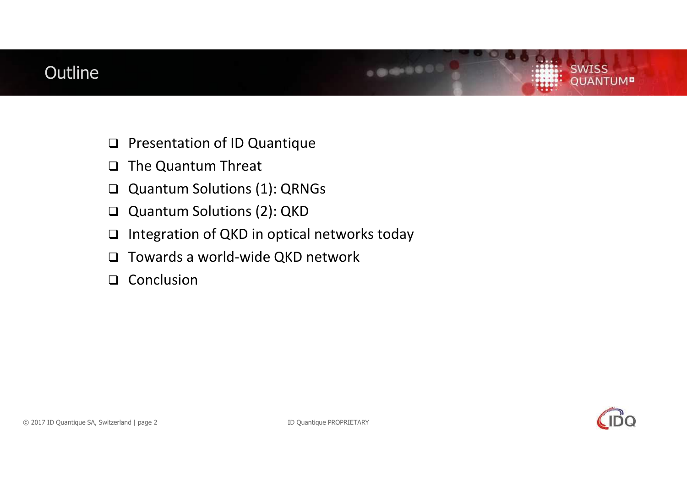### **Outline**

- $\Box$ Presentation of ID Quantique
- $\Box$ The Quantum Threat
- $\Box$ Quantum Solutions (1): QRNGs
- $\Box$ Quantum Solutions (2): QKD
- $\Box$ Integration of QKD in optical networks today
- $\Box$ Towards a world-wide QKD network
- $\Box$ Conclusion

**SWISS** 

**UANTUM<sup>D</sup>** 

.......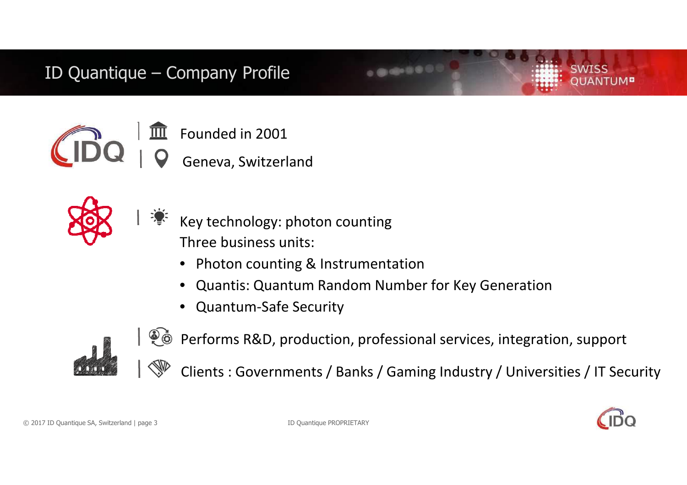### ID Quantique – Company Profile



Founded in 2001

Geneva, Switzerland



- Key technology: photon countingThree business units:
	- $\bullet$ Photon counting & Instrumentation
	- •Quantis: Quantum Random Number for Key Generation
	- •Quantum-Safe Security



Performs R&D, production, professional services, integration, supportClients : Governments / Banks / Gaming Industry / Universities / IT Security

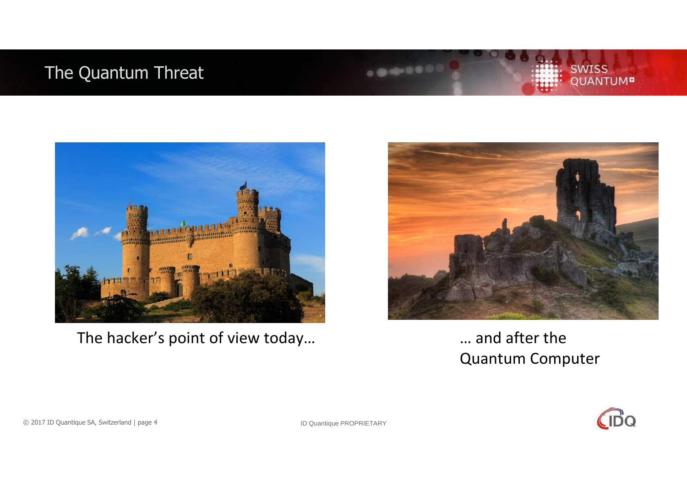### The Quantum Threat



The hacker's point of view today... The hacker's point of view today...



 $-0.000$ 

# Quantum Computer



SWISS<br>QUANTUM<sup>B</sup>

© 2017 ID Quantique SA, Switzerland | page 4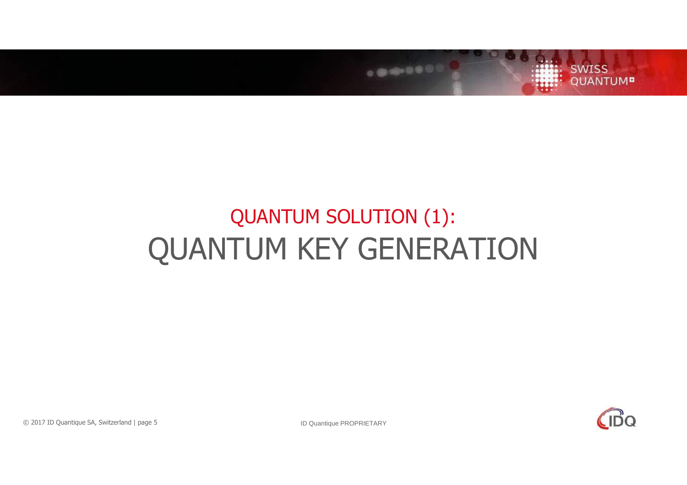

# QUANTUM SOLUTION (1):QUANTUM KEY GENERATION

 $\mathsf{C}$ Do

© 2017 ID Quantique SA, Switzerland | page 5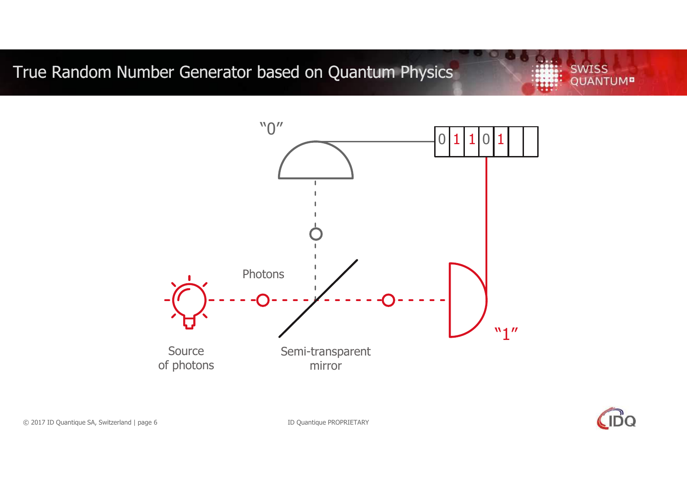### True Random Number Generator based on Quantum Physics

"0"

 $\sim$  0  $\begin{array}{|c|c|c|} \hline 0 & 1 & 1 & 0 & 1 \ \hline \end{array}$  $\overline{\phantom{a}}$ Photons**"1"** Source Semi-transparent of photonsmirror



**SWISS** 

**QUANTUM<sup>B</sup>** 

© 2017 ID Quantique SA, Switzerland | page 6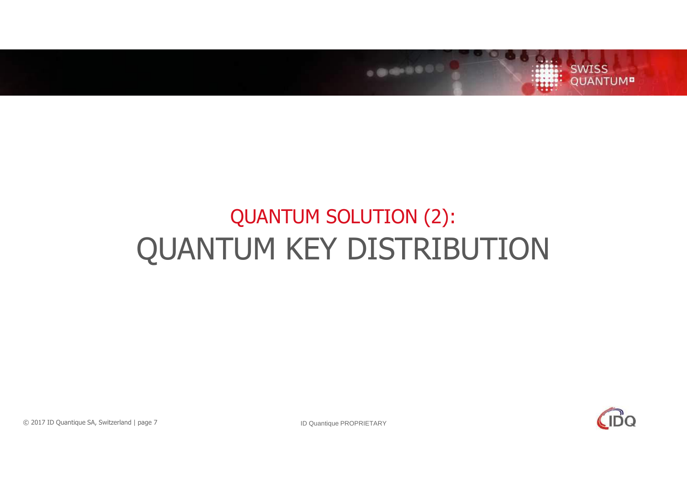

# QUANTUM SOLUTION (2):QUANTUM KEY DISTRIBUTION

 $\sqrt{10}$ 

© 2017 ID Quantique SA, Switzerland | page 7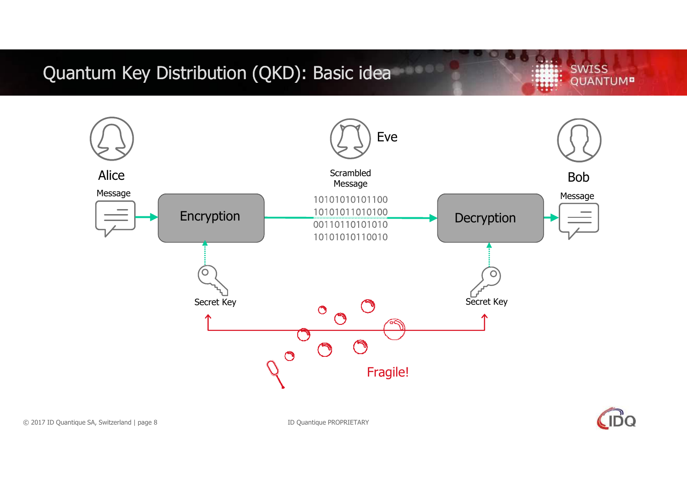## Quantum Key Distribution (QKD): Basic idea

**SWISS QUANTUM<sup>B</sup>** 

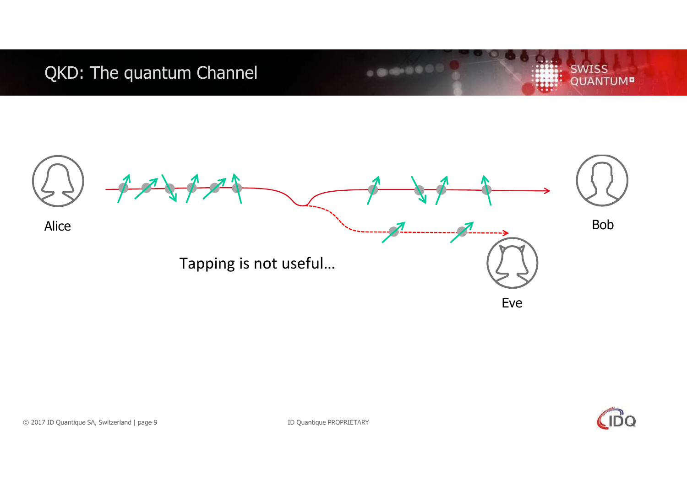### QKD: The quantum Channel



.......

 $\bigcirc$ 

**SWISS** 

**QUANTUM<sup>B</sup>**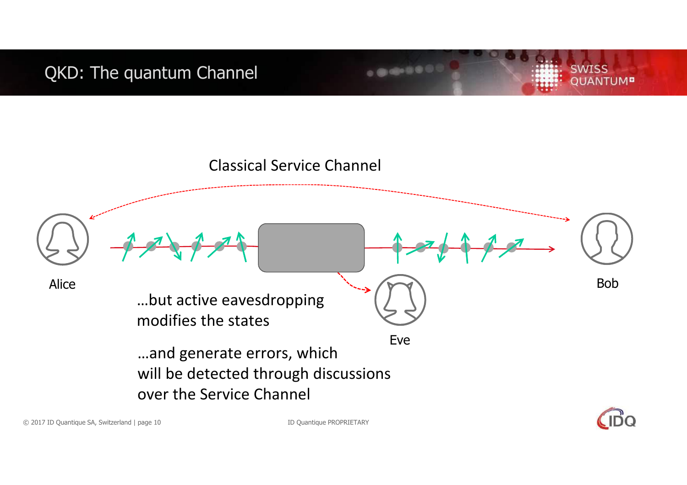QKD: The quantum Channel



 $-0.001$ 

ID Quantique PROPRIETARY



**SWISS** 

**QUANTUM<sup>B</sup>**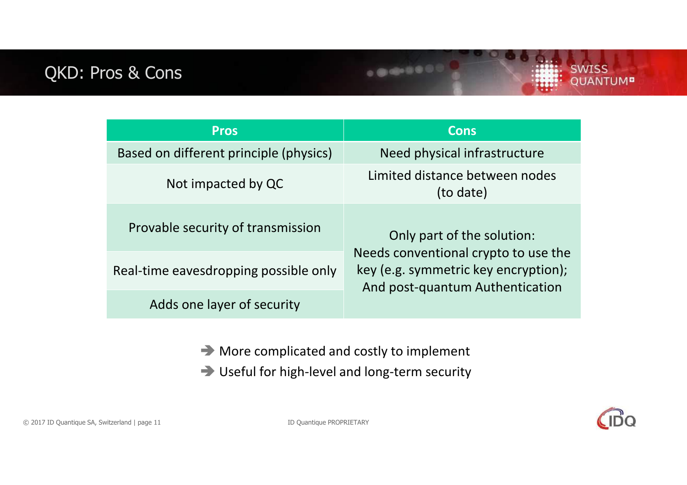### QKD: Pros & Cons

| <b>Pros</b>                            | <b>Cons</b>                                                                                                                                   |
|----------------------------------------|-----------------------------------------------------------------------------------------------------------------------------------------------|
| Based on different principle (physics) | Need physical infrastructure                                                                                                                  |
| Not impacted by QC                     | Limited distance between nodes<br>(to date)                                                                                                   |
| Provable security of transmission      | Only part of the solution:<br>Needs conventional crypto to use the<br>key (e.g. symmetric key encryption);<br>And post-quantum Authentication |
| Real-time eavesdropping possible only  |                                                                                                                                               |
| Adds one layer of security             |                                                                                                                                               |

 $0.0000000$ 

- More complicated and costly to implement
- Useful for high-level and long-term security



**SWISS** 

**QUANTUM<sup>B</sup>** 

© 2017 ID Quantique SA, Switzerland | page 11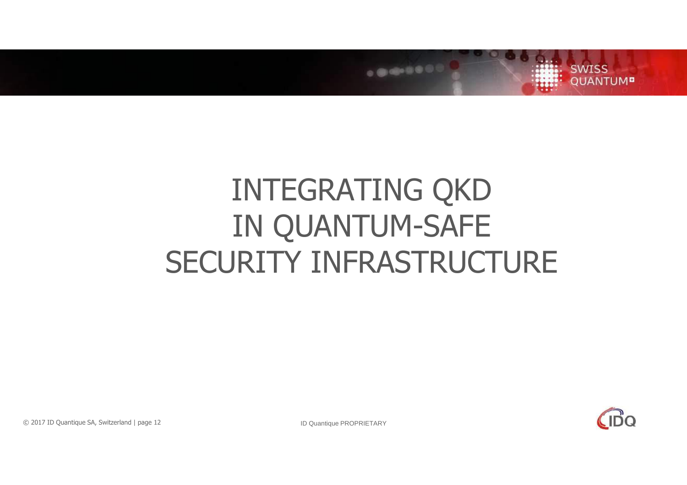

# INTEGRATING QKD IN QUANTUM-SAFESECURITY INFRASTRUCTURE



ID Quantique PROPRIETARY

© 2017 ID Quantique SA, Switzerland | page 12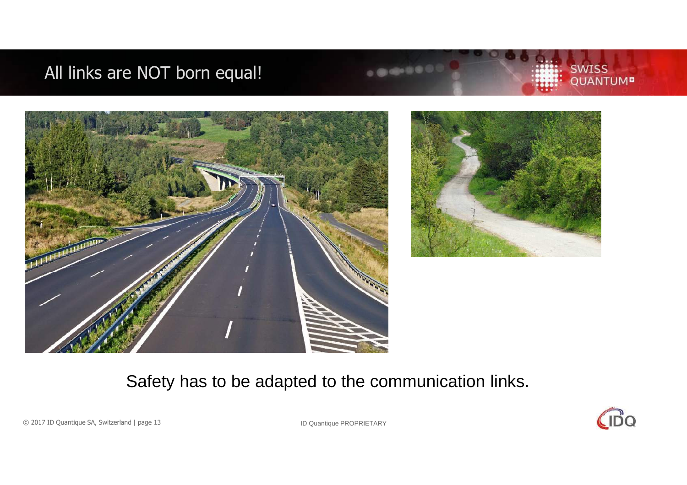### All links are NOT born equal!





### Safety has to be adapted to the communication links.



**SWISS** 

QUANTUM<sup>B</sup>

© 2017 ID Quantique SA, Switzerland | page 13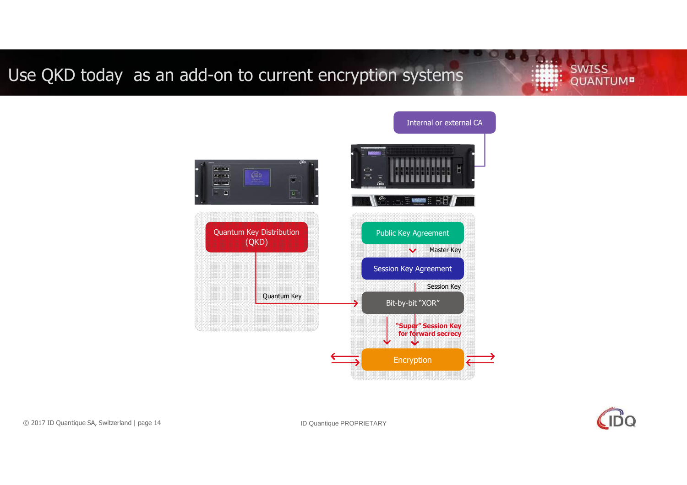### Use QKD today as an add-on to current encryption systems

**SWISS QUANTUM<sup>B</sup>** 





© 2017 ID Quantique SA, Switzerland | page 14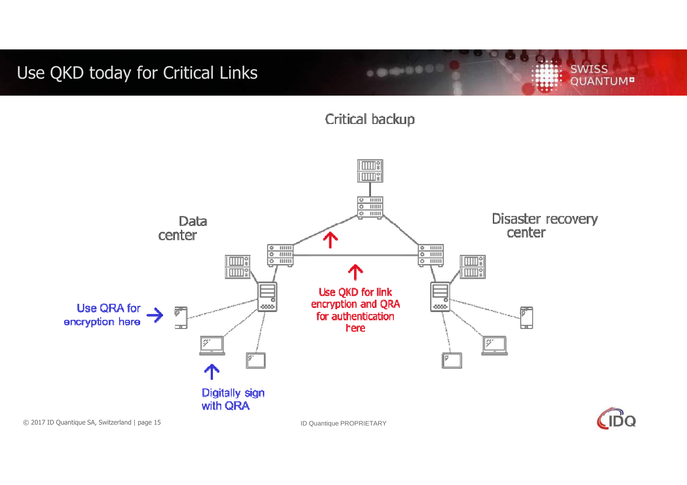### Use QKD today for Critical Links

Critical backup

 $0.00000000$ 



**IDC** 

**SWISS** 

**QUANTUM<sup>B</sup>**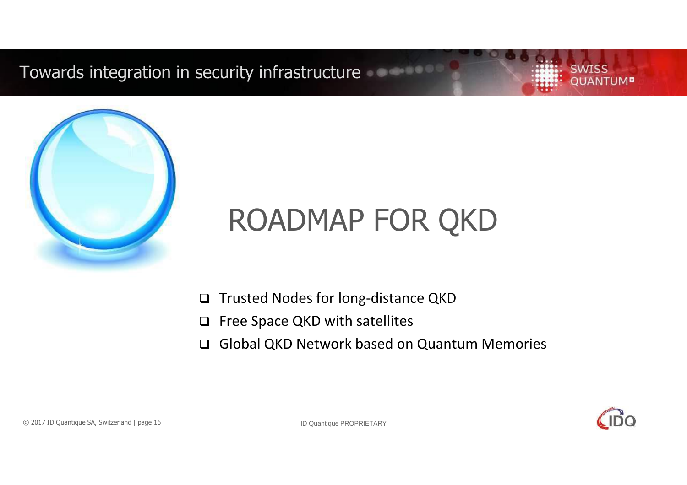Towards integration in security infrastructure

**SWISS JANTUM<sup>D</sup>** 



# ROADMAP FOR QKD

- □ Trusted Nodes for long-distance QKD
- $\Box$ Free Space QKD with satellites
- $\Box$ Global QKD Network based on Quantum Memories

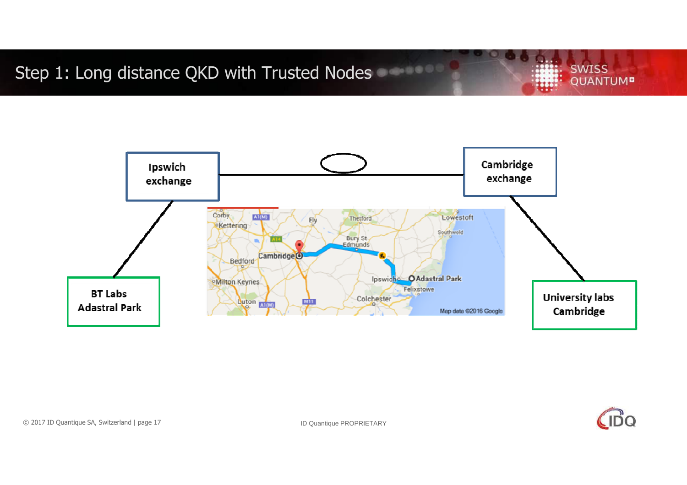Step 1: Long distance QKD with Trusted Nodes

**SWISS QUANTUM<sup>B</sup>** 



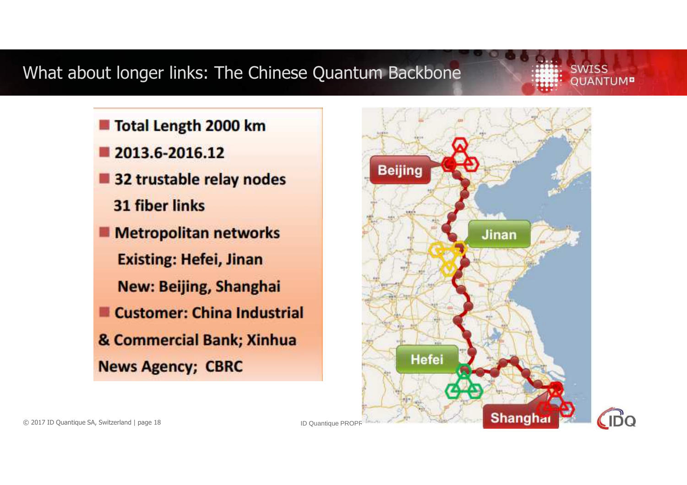### What about longer links: The Chinese Quantum Backbone

### **SWISS OUANTUM<sup>n</sup>**

- Total Length 2000 km
- 2013.6-2016.12
- 32 trustable relay nodes
	- **31 fiber links**
- **Metropolitan networks** 
	- **Existing: Hefei, Jinan**
	- New: Beijing, Shanghai
- **Customer: China Industrial**
- & Commercial Bank; Xinhua **News Agency; CBRC**

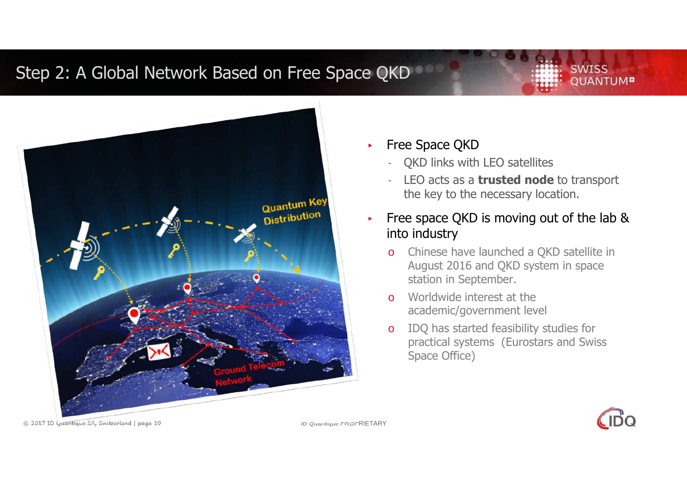### Step 2: A Global Network Based on Free Space QKD

# Quantum Key **Quantion**

### ▸Free Space QKD

- QKD links with LEO satellites
- LEO acts as a **trusted node** to transport the key to the necessary location.

▸ Free space QKD is moving out of the lab & into industry

- o Chinese have launched a QKD satellite in August 2016 and QKD system in space station in September.
- o Worldwide interest at the academic/government level
- o IDQ has started feasibility studies for practical systems (Eurostars and Swiss Space Office)



**SWISS** 

**OUANTUMP** 

© 2017 ID Quantique SA, Switzerland | page 19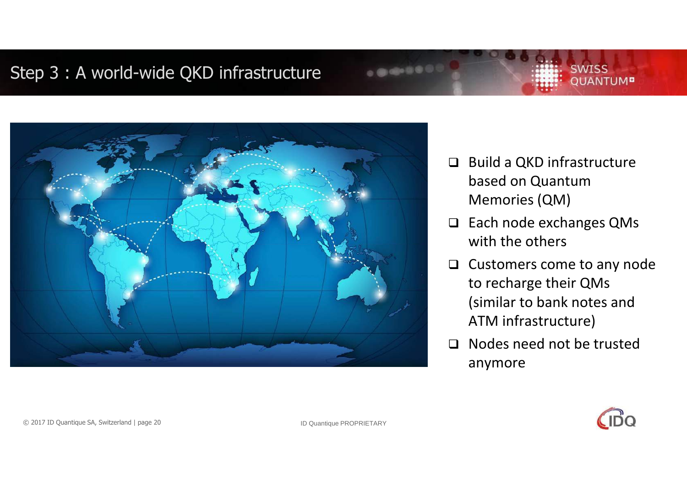### Step 3 : A world-wide QKD infrastructure



 $\Box$  Build a QKD infrastructure based on Quantum Memories (QM)

**SWISS** 

**OUANTUM<sup>B</sup>** 

- □ Each node exchanges QMs with the others
- $\Box$  Customers come to any node to recharge their QMs (similar to bank notes and ATM infrastructure)
- □ Nodes need not be trusted anymore

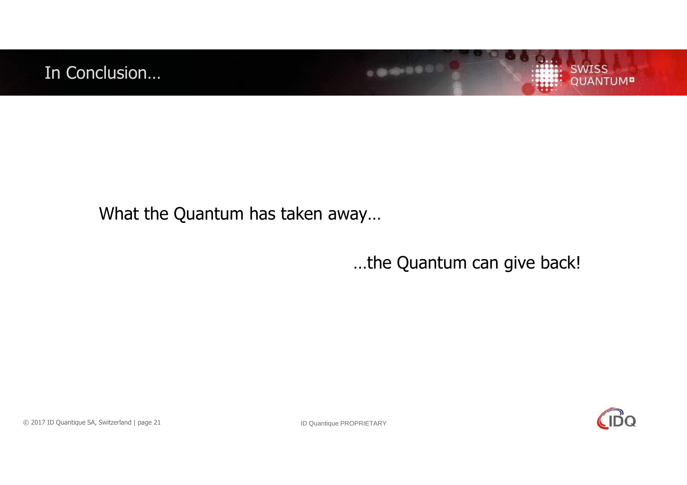



### What the Quantum has taken away…

### …the Quantum can give back!

.......



© 2017 ID Quantique SA, Switzerland | page 21